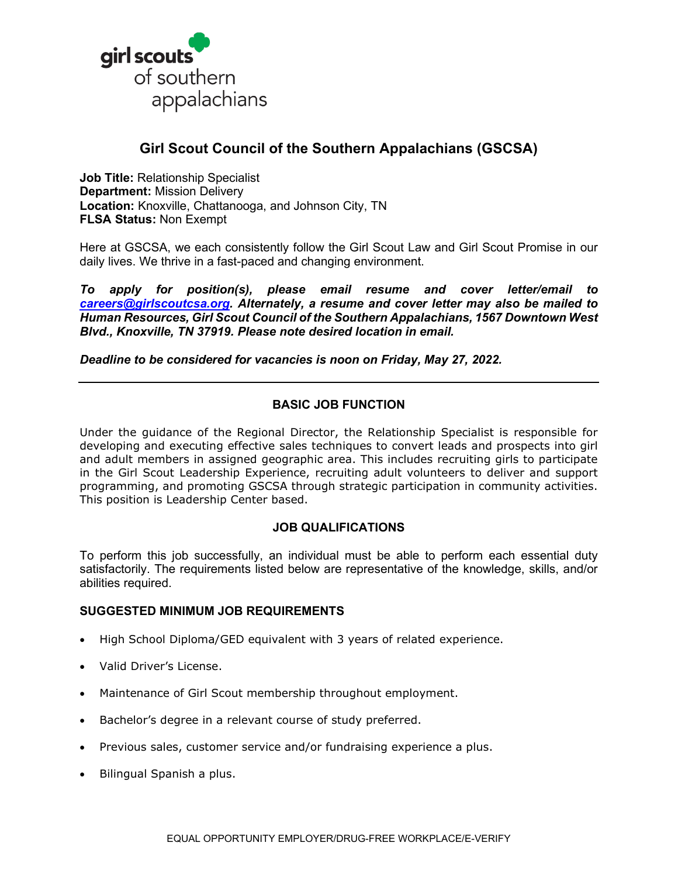

# **Girl Scout Council of the Southern Appalachians (GSCSA)**

**Job Title:** Relationship Specialist **Department:** Mission Delivery **Location:** Knoxville, Chattanooga, and Johnson City, TN **FLSA Status:** Non Exempt

Here at GSCSA, we each consistently follow the Girl Scout Law and Girl Scout Promise in our daily lives. We thrive in a fast-paced and changing environment.

*To apply for position(s), please email resume and cover letter/email to [careers@girlscoutcsa.org.](mailto:careers@girlscoutcsa.org) Alternately, a resume and cover letter may also be mailed to Human Resources, Girl Scout Council of the Southern Appalachians, 1567 Downtown West Blvd., Knoxville, TN 37919. Please note desired location in email.*

*Deadline to be considered for vacancies is noon on Friday, May 27, 2022.*

## **BASIC JOB FUNCTION**

Under the guidance of the Regional Director, the Relationship Specialist is responsible for developing and executing effective sales techniques to convert leads and prospects into girl and adult members in assigned geographic area. This includes recruiting girls to participate in the Girl Scout Leadership Experience, recruiting adult volunteers to deliver and support programming, and promoting GSCSA through strategic participation in community activities. This position is Leadership Center based.

#### **JOB QUALIFICATIONS**

To perform this job successfully, an individual must be able to perform each essential duty satisfactorily. The requirements listed below are representative of the knowledge, skills, and/or abilities required.

#### **SUGGESTED MINIMUM JOB REQUIREMENTS**

- High School Diploma/GED equivalent with 3 years of related experience.
- Valid Driver's License.
- Maintenance of Girl Scout membership throughout employment.
- Bachelor's degree in a relevant course of study preferred.
- Previous sales, customer service and/or fundraising experience a plus.
- Bilingual Spanish a plus.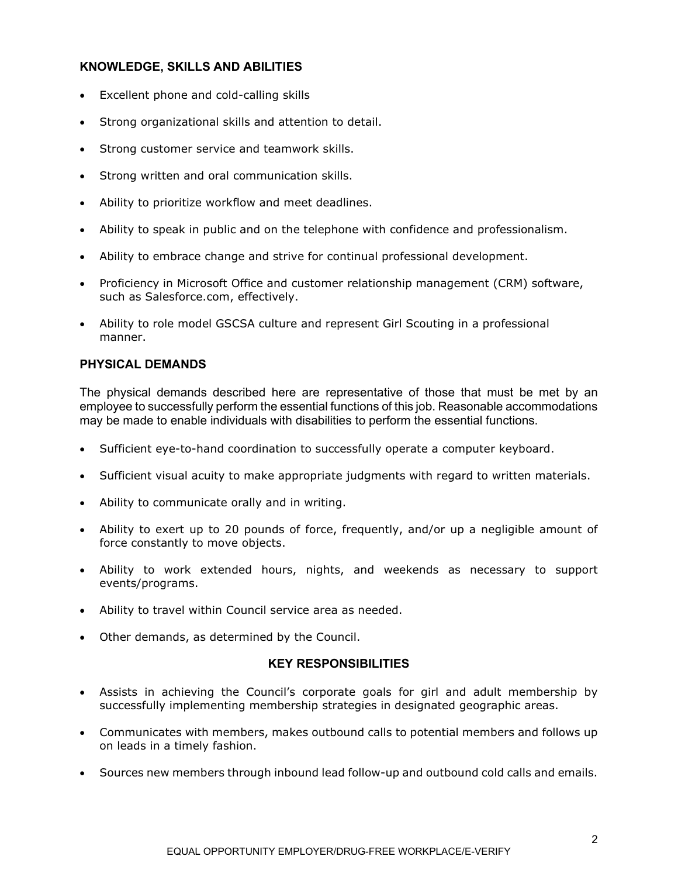### **KNOWLEDGE, SKILLS AND ABILITIES**

- Excellent phone and cold-calling skills
- Strong organizational skills and attention to detail.
- Strong customer service and teamwork skills.
- Strong written and oral communication skills.
- Ability to prioritize workflow and meet deadlines.
- Ability to speak in public and on the telephone with confidence and professionalism.
- Ability to embrace change and strive for continual professional development.
- Proficiency in Microsoft Office and customer relationship management (CRM) software, such as Salesforce.com, effectively.
- Ability to role model GSCSA culture and represent Girl Scouting in a professional manner.

#### **PHYSICAL DEMANDS**

The physical demands described here are representative of those that must be met by an employee to successfully perform the essential functions of this job. Reasonable accommodations may be made to enable individuals with disabilities to perform the essential functions.

- Sufficient eye-to-hand coordination to successfully operate a computer keyboard.
- Sufficient visual acuity to make appropriate judgments with regard to written materials.
- Ability to communicate orally and in writing.
- Ability to exert up to 20 pounds of force, frequently, and/or up a negligible amount of force constantly to move objects.
- Ability to work extended hours, nights, and weekends as necessary to support events/programs.
- Ability to travel within Council service area as needed.
- Other demands, as determined by the Council.

#### **KEY RESPONSIBILITIES**

- Assists in achieving the Council's corporate goals for girl and adult membership by successfully implementing membership strategies in designated geographic areas.
- Communicates with members, makes outbound calls to potential members and follows up on leads in a timely fashion.
- Sources new members through inbound lead follow-up and outbound cold calls and emails.